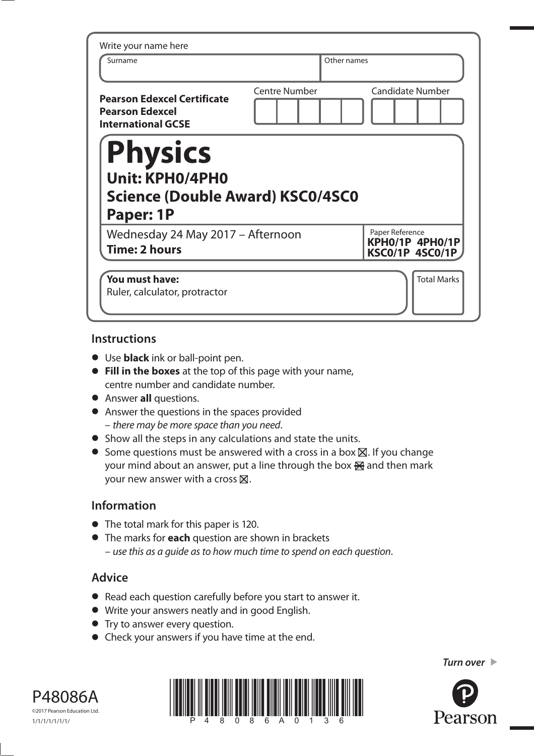| Surname                                                                                   | Other names          |                                                       |
|-------------------------------------------------------------------------------------------|----------------------|-------------------------------------------------------|
| <b>Pearson Edexcel Certificate</b><br><b>Pearson Edexcel</b><br><b>International GCSE</b> | <b>Centre Number</b> | <b>Candidate Number</b>                               |
| <b>Physics</b><br><b>Unit: KPH0/4PH0</b>                                                  |                      |                                                       |
| Science (Double Award) KSC0/4SC0<br>Paper: 1P                                             |                      |                                                       |
| Wednesday 24 May 2017 - Afternoon<br><b>Time: 2 hours</b>                                 |                      | Paper Reference<br>KPH0/1P 4PH0/1P<br>KSC0/1P 4SC0/1P |

## **Instructions**

- Use **black** ink or ball-point pen.
- **Fill in the boxes** at the top of this page with your name, centre number and candidate number.
- Answer **all** questions.
- Answer the questions in the spaces provided – there may be more space than you need.
- Show all the steps in any calculations and state the units.
- Some questions must be answered with a cross in a box  $\boxtimes$ . If you change your mind about an answer, put a line through the box  $\mathbb{R}$  and then mark your new answer with a cross  $\boxtimes$ .

## **Information**

- The total mark for this paper is 120.
- The marks for **each** question are shown in brackets – use this as a guide as to how much time to spend on each question.

## **Advice**

- Read each question carefully before you start to answer it.
- Read each question carefully before you start to Write your answers neatly and in good English. • Write your answers neatly and in good English.<br>• Try to answer every question.
- 
- Check your answers if you have time at the end.





*Turn over* 

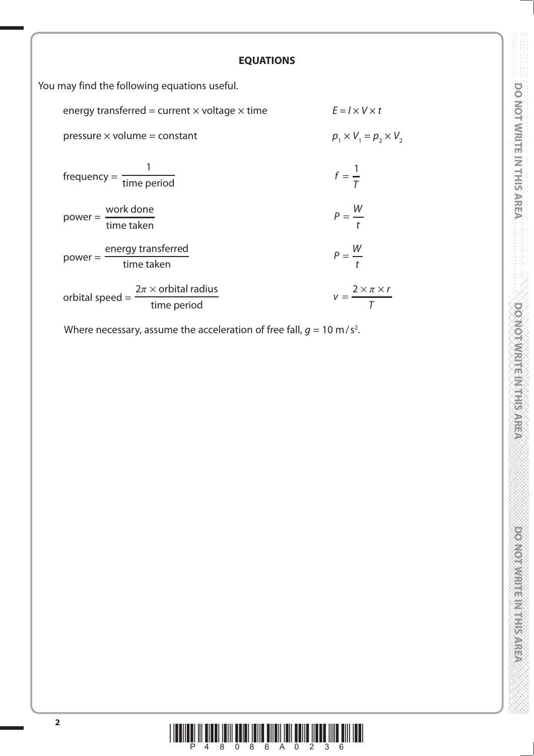| <b>EQUATIONS</b>                                                             |                                       |
|------------------------------------------------------------------------------|---------------------------------------|
| You may find the following equations useful.                                 |                                       |
| energy transferred = current $\times$ voltage $\times$ time                  | $E = I \times V \times t$             |
| pressure $\times$ volume = constant                                          | $p_1 \times V_1 = p_2 \times V_2$     |
| $frequency = \frac{1}{time period}$                                          | $f=\frac{1}{T}$                       |
| $power = \frac{work \, done}{time \, taken}$                                 | $P = \frac{W}{t}$                     |
| energy transferred<br>$power = \frac{1}{time taken}$                         | $P = \frac{W}{t}$                     |
| $2\pi \times$ orbital radius<br>orbital speed = $\frac{2\pi}{2}$ time period | $v = \frac{2 \times \pi \times r}{T}$ |

Where necessary, assume the acceleration of free fall,  $g = 10 \text{ m/s}^2$ .



DO NOT WRITE IN THIS AREA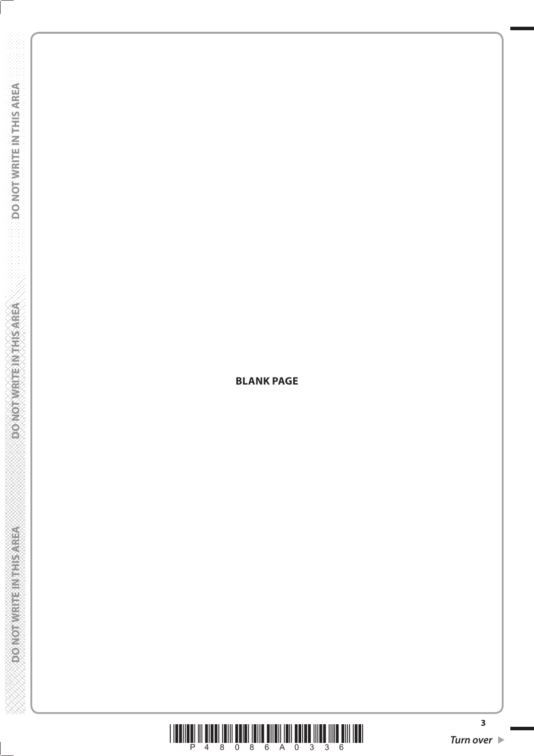



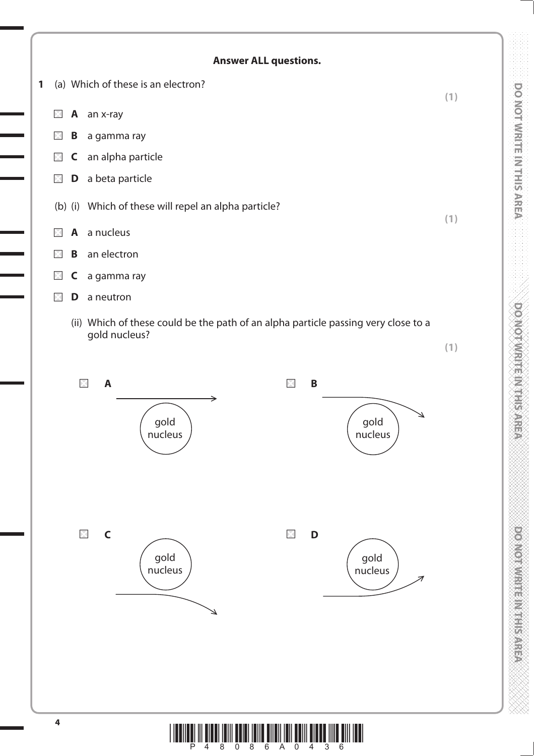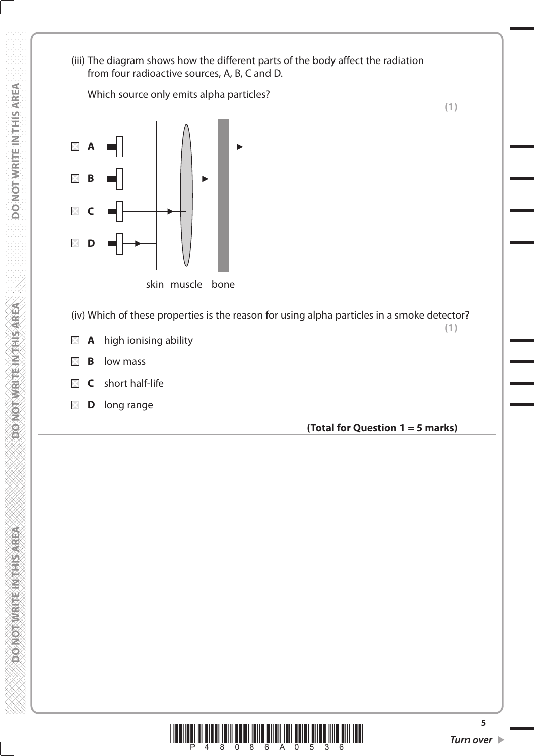(iii) The diagram shows how the different parts of the body affect the radiation from four radioactive sources, A, B, C and D.

Which source only emits alpha particles?



(iv) Which of these properties is the reason for using alpha particles in a smoke detector?

- **A** high ionising ability
- **B** low mass
- **C** short half-life
- **D** long range

**(Total for Question 1 = 5 marks)**



**5**

**DO NOT WRITE IN THIS AREA** 

**(1)**

**(1)**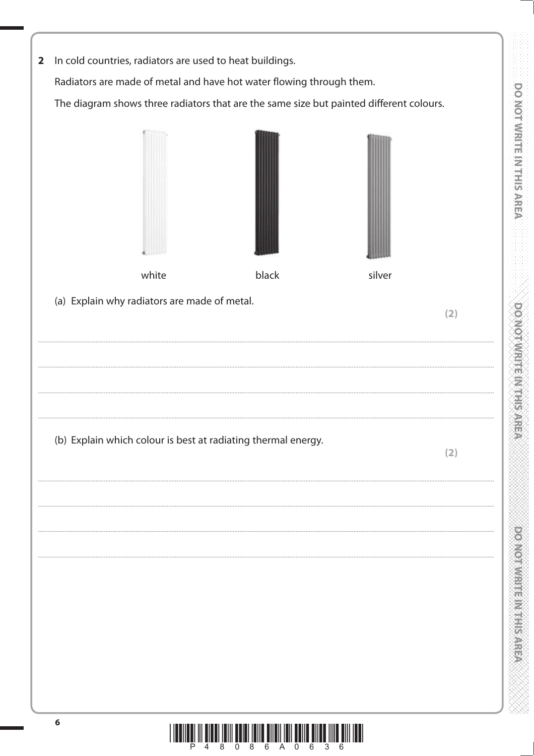

<u>mini mito ali in mini in mito mini mini mini mini mini m</u>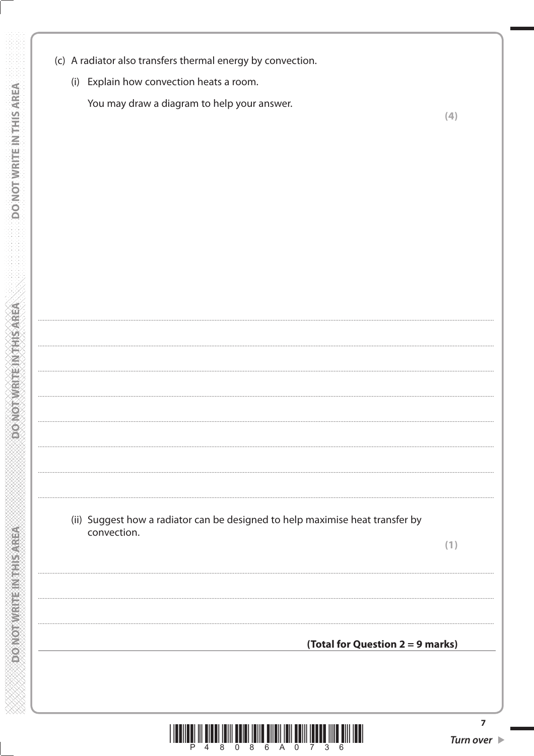- (c) A radiator also transfers thermal energy by convection.
	- (i) Explain how convection heats a room.

**DO NOT WRITE IN THIS AREA** 

**DONOT WRITEIN THIS AREA** 

*<u>RESPERING BRIGHTSON CONT</u>* 

You may draw a diagram to help your answer.

 $(4)$ 

(ii) Suggest how a radiator can be designed to help maximise heat transfer by convection.

(Total for Question 2 = 9 marks)

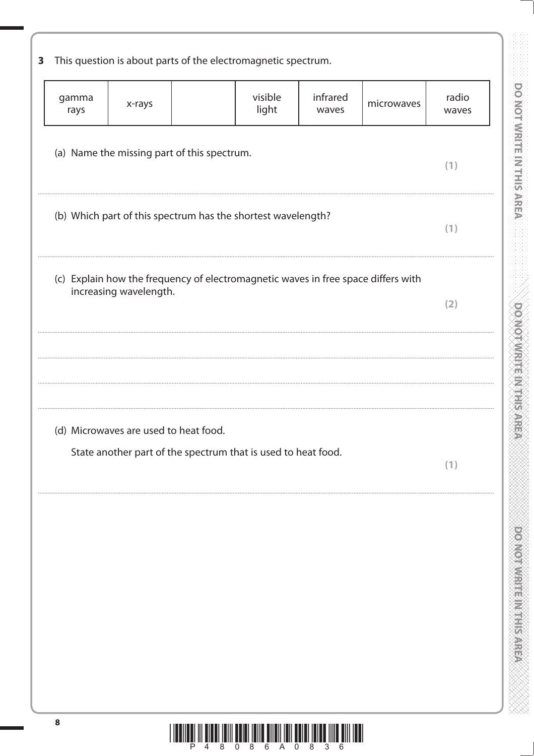| gamma<br>rays | x-rays                                      | visible<br>light                                                                  | infrared<br>waves | microwaves | radio<br>waves |
|---------------|---------------------------------------------|-----------------------------------------------------------------------------------|-------------------|------------|----------------|
|               | (a) Name the missing part of this spectrum. |                                                                                   |                   |            | (1)            |
|               |                                             | (b) Which part of this spectrum has the shortest wavelength?                      |                   |            | (1)            |
|               | increasing wavelength.                      | (c) Explain how the frequency of electromagnetic waves in free space differs with |                   |            | (2)            |
|               | (d) Microwaves are used to heat food.       | State another part of the spectrum that is used to heat food.                     |                   |            | (1)            |
|               |                                             |                                                                                   |                   |            |                |
|               |                                             |                                                                                   |                   |            |                |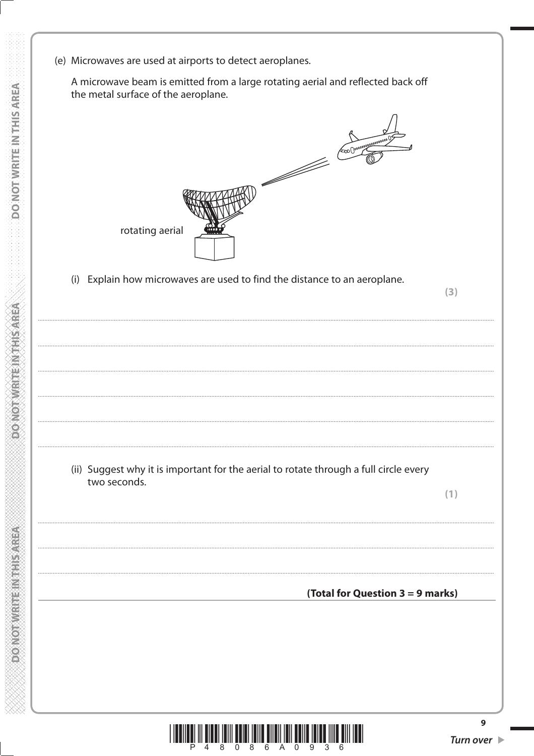(e) Microwaves are used at airports to detect aeroplanes.

**DO NOT WRITE IN THIS AREA** 

**DONOT WRITEIN THIS AREA** 

**MEET ASSESSED AND AN ANONY OF A** 

A microwave beam is emitted from a large rotating aerial and reflected back off the metal surface of the aeroplane.

|                                | <b>And Occasional Community Office</b> |
|--------------------------------|----------------------------------------|
| €                              |                                        |
| rotating aerial<br>100000<br>. |                                        |

(i) Explain how microwaves are used to find the distance to an aeroplane.

 $(3)$ 

(ii) Suggest why it is important for the aerial to rotate through a full circle every two seconds.

(Total for Question 3 = 9 marks)

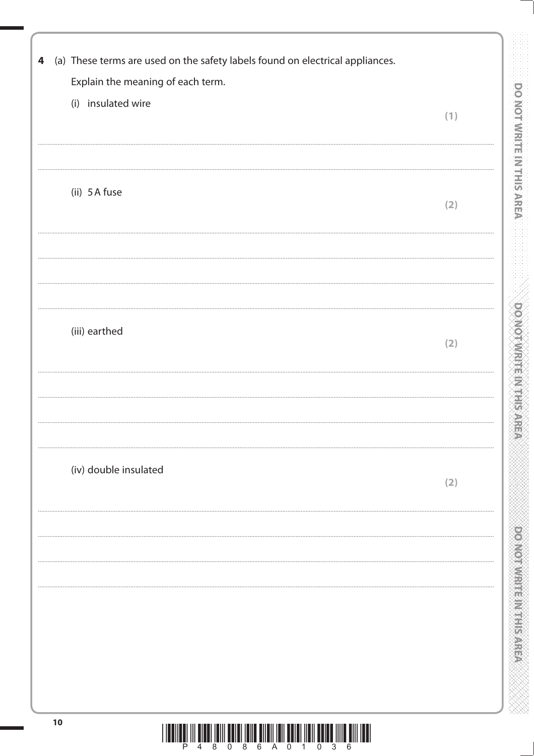| Explain the meaning of each term. |     |
|-----------------------------------|-----|
| (i) insulated wire                | (1) |
|                                   |     |
| (ii) 5 A fuse                     | (2) |
|                                   |     |
| (iii) earthed                     | (2) |
|                                   |     |
| (iv) double insulated             | (2) |
|                                   |     |
|                                   |     |
|                                   |     |
|                                   |     |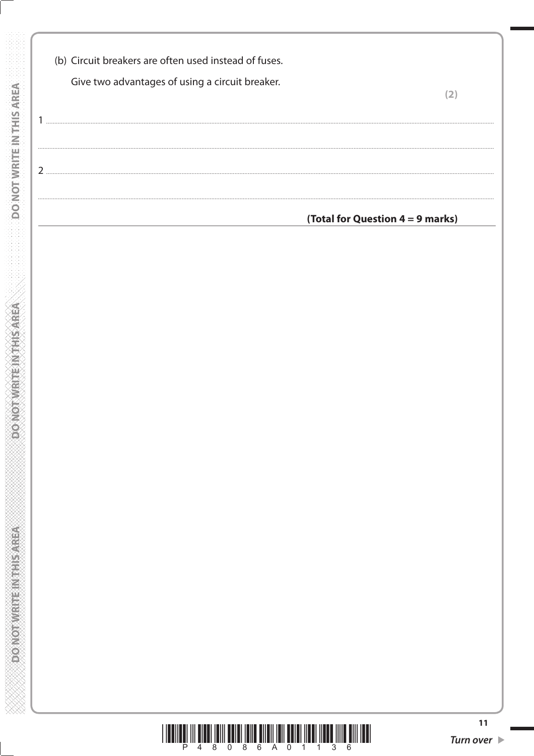|                                  | (b) Circuit breakers are often used instead of fuses. |     |
|----------------------------------|-------------------------------------------------------|-----|
|                                  | Give two advantages of using a circuit breaker.       | (2) |
|                                  | 1                                                     |     |
| <b>DO NOT WRITE IN THIS AREA</b> | 2 <sup>1</sup>                                        |     |
|                                  |                                                       |     |
|                                  | (Total for Question 4 = 9 marks)                      |     |
|                                  |                                                       |     |
|                                  |                                                       |     |
| O NOTWARE MAHISAREA              |                                                       |     |
|                                  |                                                       |     |
|                                  |                                                       |     |
| ☎                                |                                                       |     |
|                                  |                                                       |     |
|                                  |                                                       |     |
|                                  |                                                       |     |
| <b>PONOXWATEMATISMS</b>          |                                                       |     |
|                                  |                                                       |     |
|                                  |                                                       |     |
|                                  |                                                       |     |
|                                  |                                                       | 11  |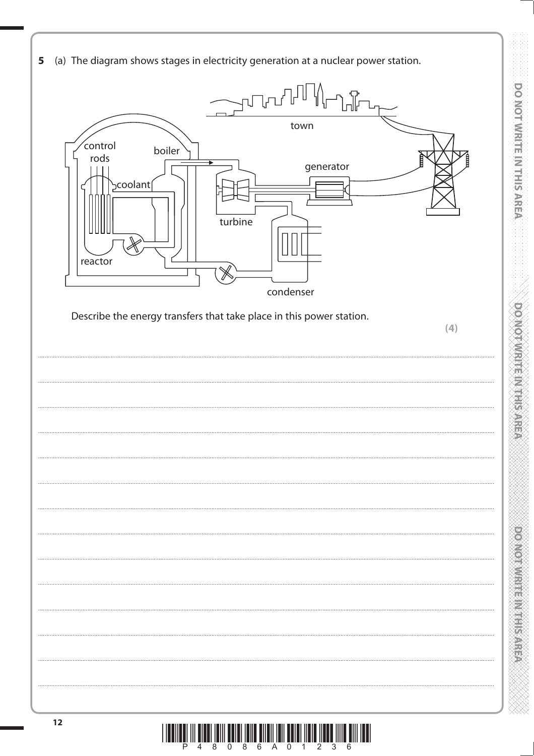| (a) The diagram shows stages in electricity generation at a nuclear power station.<br>town |     |
|--------------------------------------------------------------------------------------------|-----|
| control<br>boiler<br>rods<br>generator<br>ှcoolant<br>turbine<br>reactor<br>condenser      |     |
| Describe the energy transfers that take place in this power station.                       | (4) |
|                                                                                            |     |
|                                                                                            |     |
|                                                                                            |     |
|                                                                                            |     |
|                                                                                            |     |
|                                                                                            |     |
|                                                                                            |     |
|                                                                                            |     |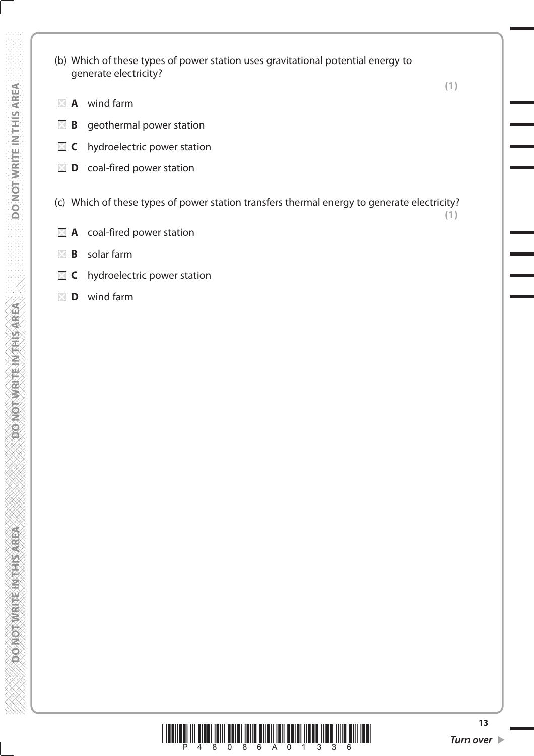- **DO NOT WRITE IN THIS AREA DO NOT WRITE IN THIS AREA DO NOT WRITE IN THIS AREA DO NOT WRITE IN THIS AREA DO NOT WRITE IN THIS AREA DO NOT**
- (b) Which of these types of power station uses gravitational potential energy to generate electricity?
- **(1)**

**(1)**

- **A** wind farm
- **B** geothermal power station
- **C** hydroelectric power station
- **D** coal-fired power station
- (c) Which of these types of power station transfers thermal energy to generate electricity?
- **A** coal-fired power station
- **B** solar farm
- **C** hydroelectric power station
- **D** wind farm

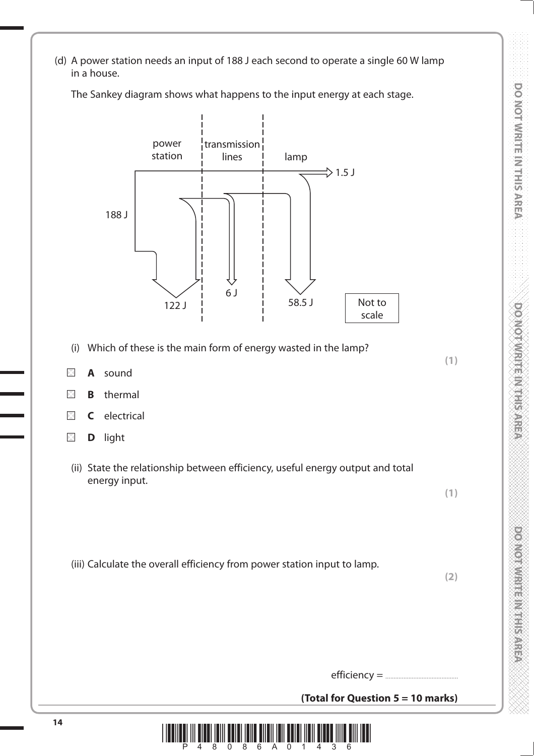(d) A power station needs an input of 188 J each second to operate a single 60 W lamp in a house.

The Sankey diagram shows what happens to the input energy at each stage.



**(Total for Question 5 = 10 marks)**

efficiency = ............................................



**DOOMOTIVE HIS SARE** 

**(1)**

**(1)**

**(2)**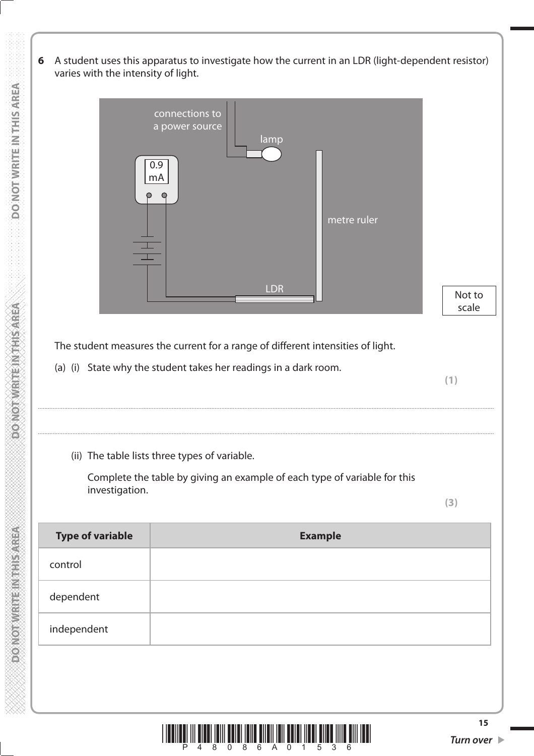**6** A student uses this apparatus to investigate how the current in an LDR (light-dependent resistor) varies with the intensity of light.



The student measures the current for a range of different intensities of light.

- (a) (i) State why the student takes her readings in a dark room.
	- (ii) The table lists three types of variable.

 Complete the table by giving an example of each type of variable for this investigation.

....................................................................................................................................................................................................................................................................................

....................................................................................................................................................................................................................................................................................

**(3)**

**(1)**

| <b>Type of variable</b> | <b>Example</b> |
|-------------------------|----------------|
| control                 |                |
| dependent               |                |
| independent             |                |
|                         |                |

**RESPONSIBING PRODUCTIONS** 

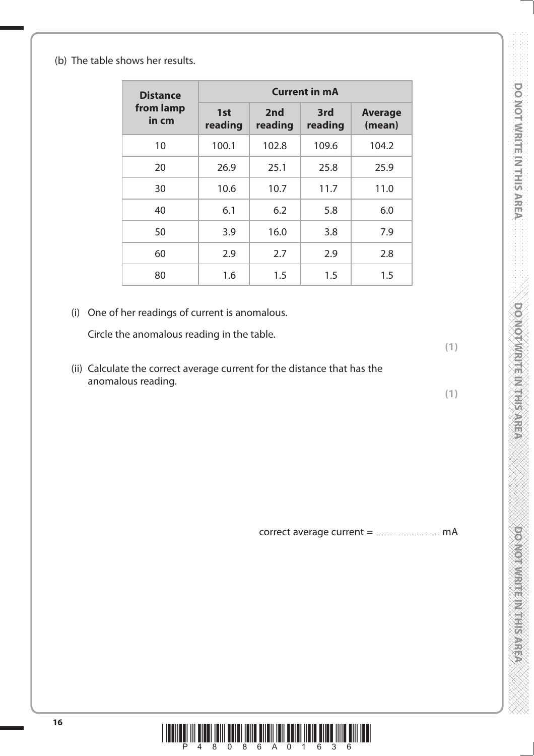**DOO YOU WELFARE WELFARE** 

**(1)**

**(1)**

(b) The table shows her results.

| <b>Distance</b>    | <b>Current in mA</b> |                |                |                          |
|--------------------|----------------------|----------------|----------------|--------------------------|
| from lamp<br>in cm | 1st<br>reading       | 2nd<br>reading | 3rd<br>reading | <b>Average</b><br>(mean) |
| 10                 | 100.1                | 102.8          | 109.6          | 104.2                    |
| 20                 | 26.9                 | 25.1           | 25.8           | 25.9                     |
| 30                 | 10.6                 | 10.7           | 11.7           | 11.0                     |
| 40                 | 6.1                  | 6.2            | 5.8            | 6.0                      |
| 50                 | 3.9                  | 16.0           | 3.8            | 7.9                      |
| 60                 | 2.9                  | 2.7            | 2.9            | 2.8                      |
| 80                 | 1.6                  | 1.5            | 1.5            | 1.5                      |

(i) One of her readings of current is anomalous.

Circle the anomalous reading in the table.

 (ii) Calculate the correct average current for the distance that has the anomalous reading.

correct average current = ....................................... mA

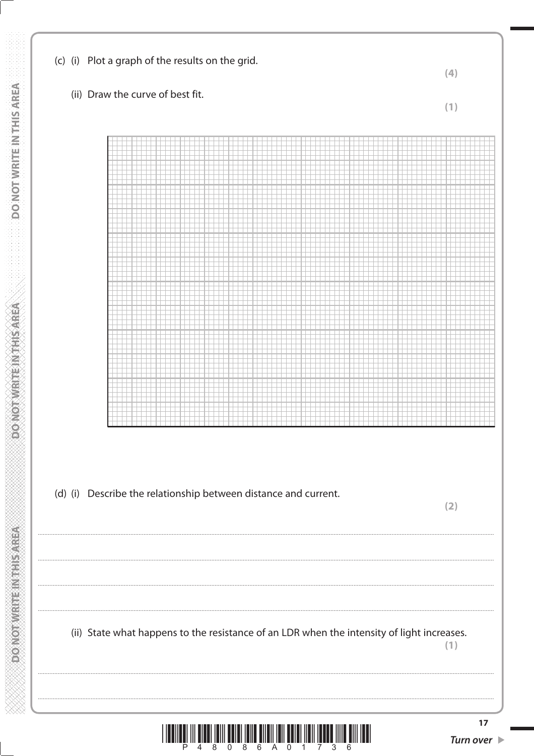

P  $\overline{4}$ 

**DO NOT WRITE IN THIS AREA** 

**DONOT WRITE IN THIS AREA** 

**PONOT WRITEINTHIS AREA**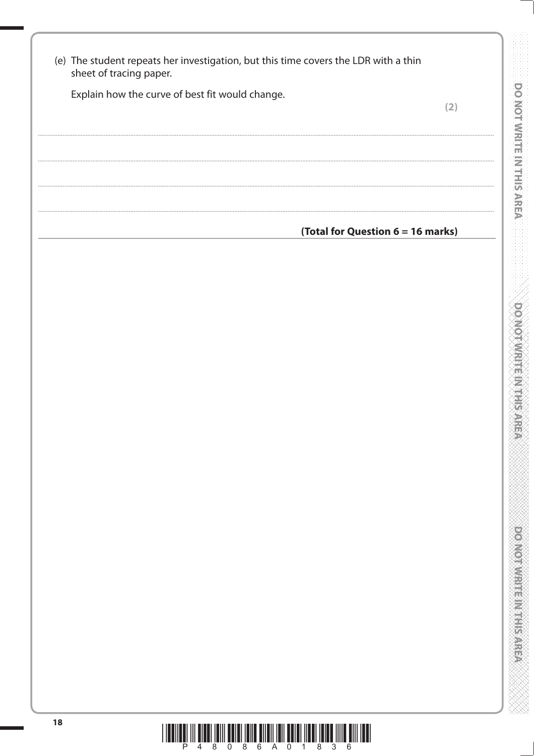| Explain how the curve of best fit would change. |                                   |
|-------------------------------------------------|-----------------------------------|
|                                                 | (2)                               |
|                                                 |                                   |
|                                                 |                                   |
|                                                 |                                   |
|                                                 |                                   |
|                                                 |                                   |
|                                                 | (Total for Question 6 = 16 marks) |
|                                                 |                                   |
|                                                 |                                   |
|                                                 |                                   |
|                                                 |                                   |
|                                                 |                                   |
|                                                 |                                   |
|                                                 |                                   |
|                                                 |                                   |
|                                                 |                                   |
|                                                 |                                   |
|                                                 |                                   |
|                                                 |                                   |
|                                                 |                                   |
|                                                 |                                   |
|                                                 |                                   |
|                                                 |                                   |
|                                                 |                                   |
|                                                 |                                   |
|                                                 |                                   |
|                                                 |                                   |
|                                                 |                                   |
|                                                 |                                   |
|                                                 |                                   |
|                                                 |                                   |
|                                                 |                                   |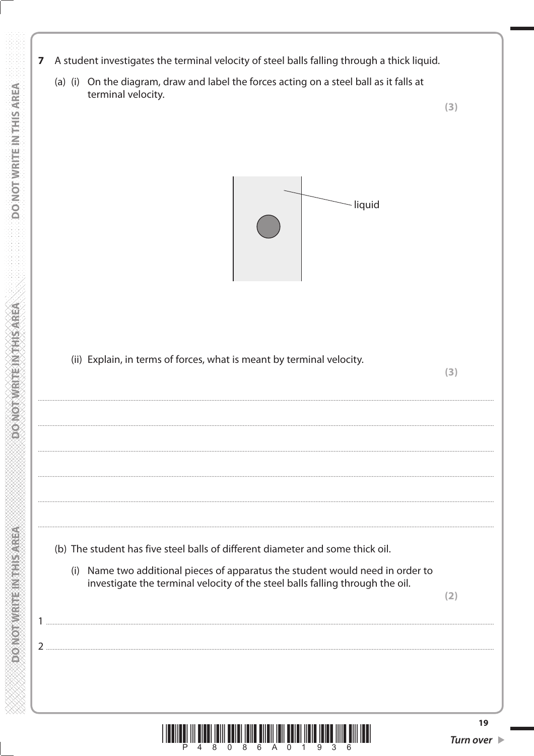- A student investigates the terminal velocity of steel balls falling through a thick liquid.  $\overline{\mathbf{z}}$ 
	- (a) (i) On the diagram, draw and label the forces acting on a steel ball as it falls at terminal velocity.

 $(3)$ 



(ii) Explain, in terms of forces, what is meant by terminal velocity.

- (b) The student has five steel balls of different diameter and some thick oil.
	- (i) Name two additional pieces of apparatus the student would need in order to investigate the terminal velocity of the steel balls falling through the oil.

 $(2)$ 

**DO NOT WRITE IN THIS AREA** 

**POWOTWRITEINTHSAREA** 



19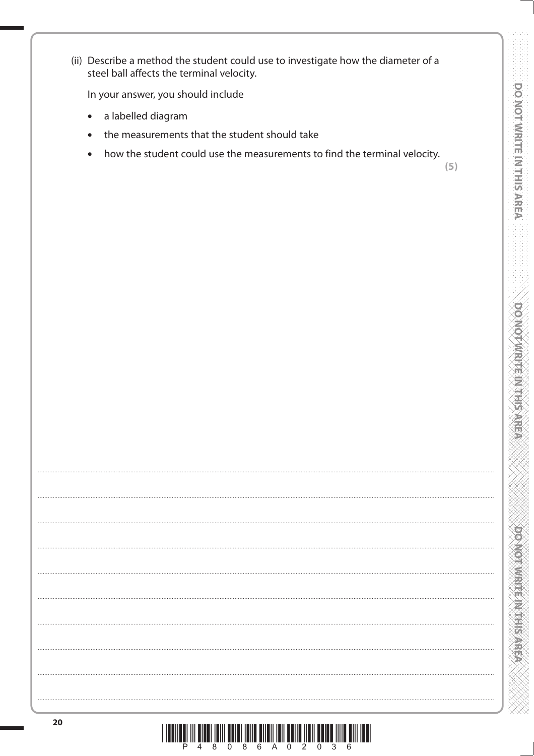(ii) Describe a method the student could use to investigate how the diameter of a steel ball affects the terminal velocity.

In your answer, you should include

- a labelled diagram  $\bullet$
- the measurements that the student should take
- how the student could use the measurements to find the terminal velocity.

 $(5)$ 

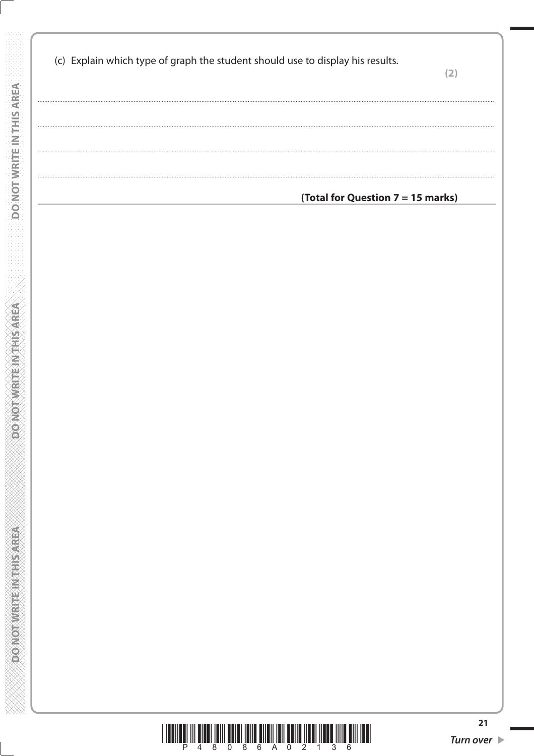

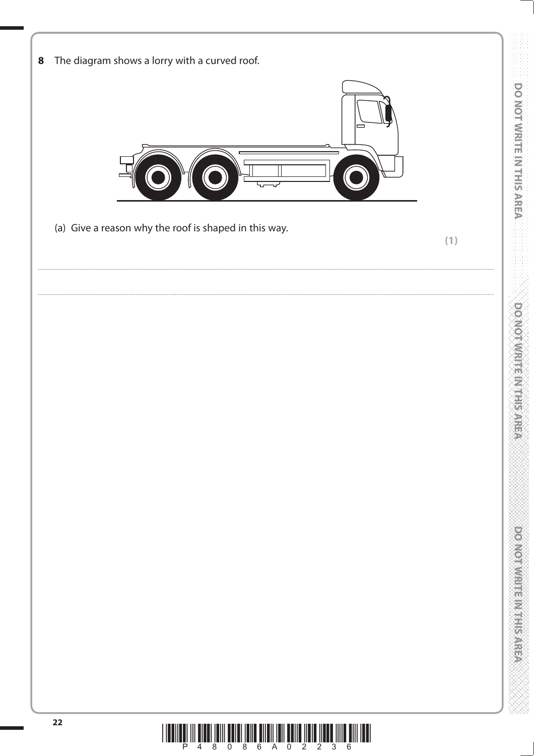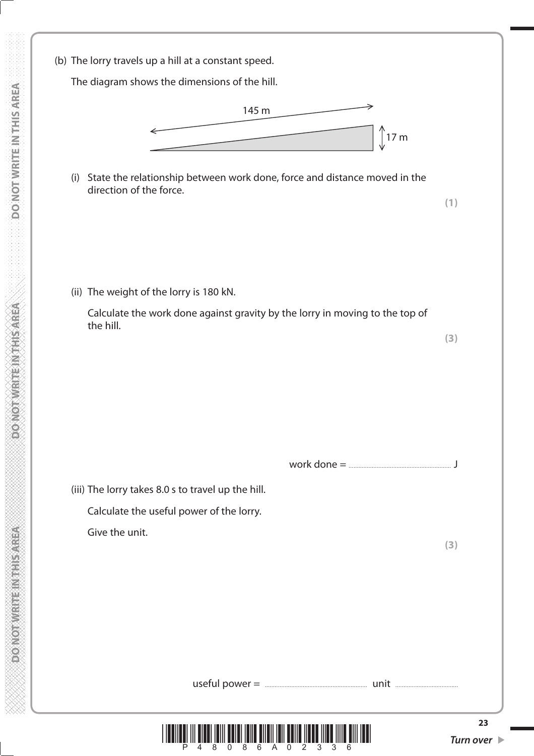$\begin{array}{c|c|c|c|c|c} \hline \textbf{0} & \textbf{0} & \textbf{0} & \textbf{0} & \textbf{0} & \textbf{0} & \textbf{0} & \textbf{0} & \textbf{0} & \textbf{0} & \textbf{0} & \textbf{0} & \textbf{0} & \textbf{0} & \textbf{0} & \textbf{0} & \textbf{0} & \textbf{0} & \textbf{0} & \textbf{0} & \textbf{0} & \textbf{0} & \textbf{0} & \textbf{0} & \textbf{0} & \textbf{0} & \textbf{0} & \textbf{0} & \textbf{$  (b) The lorry travels up a hill at a constant speed. The diagram shows the dimensions of the hill. 145 m  $\int$  17 m (i) State the relationship between work done, force and distance moved in the direction of the force. **(1)** (ii) The weight of the lorry is 180 kN. Calculate the work done against gravity by the lorry in moving to the top of the hill. **(3)** work done = .............................................................. J (iii) The lorry takes 8.0 s to travel up the hill. Calculate the useful power of the lorry. Give the unit. **(3)** useful power = .............................................................. unit ......................................

**DO NOT WRITE IN THIS AREA**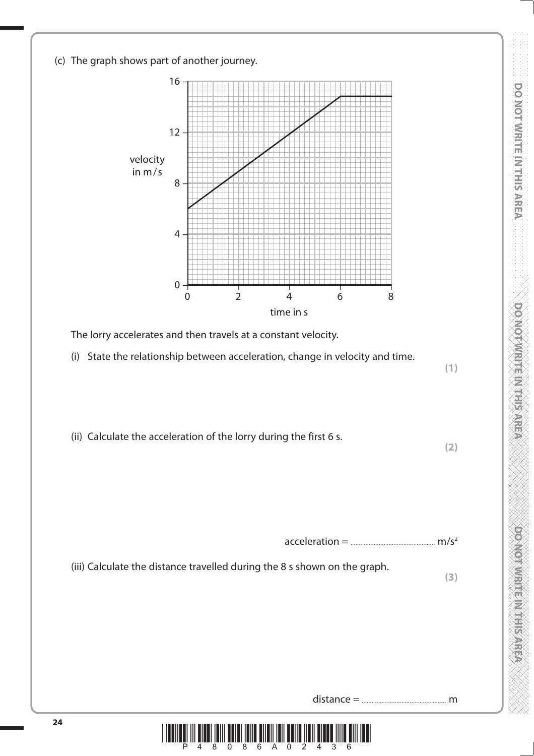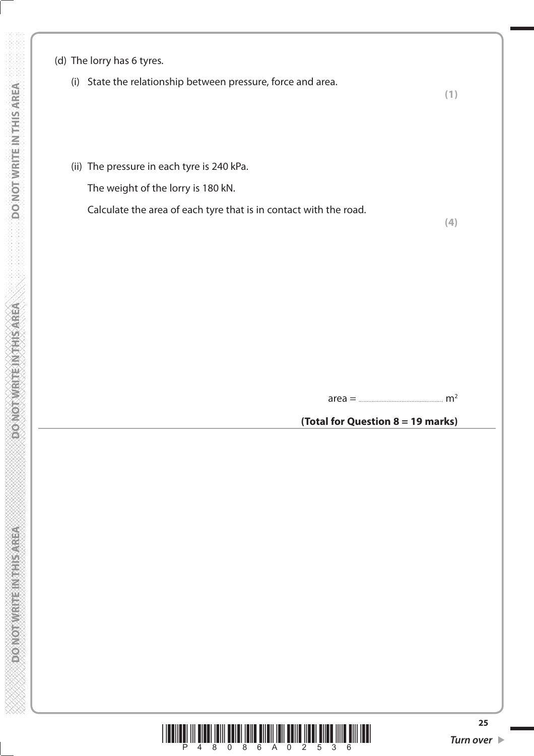(d) The lorry has 6 tyres. (i) State the relationship between pressure, force and area. **DO NOT WRITE IN THIS AREA**  (ii) The pressure in each tyre is 240 kPa. The weight of the lorry is 180 kN. Calculate the area of each tyre that is in contact with the road.

area = ................................................... m2

**(1)**

**(4)**

**(Total for Question 8 = 19 marks)**



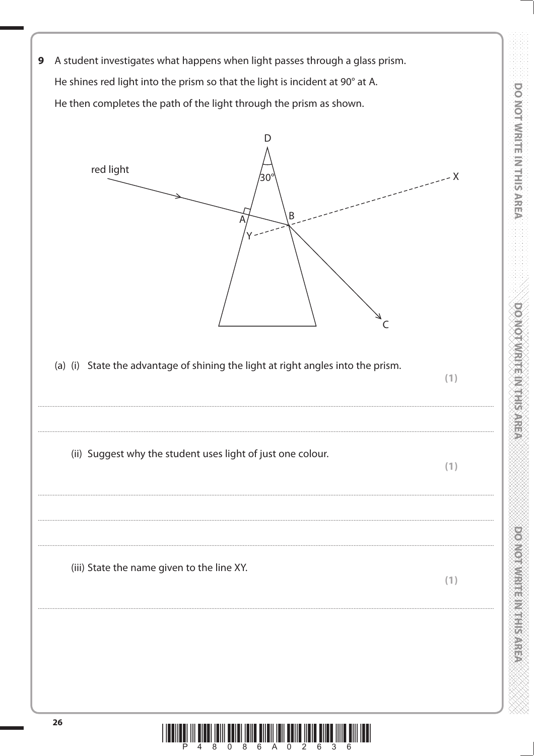A student investigates what happens when light passes through a glass prism.  $\mathbf{9}$ He shines red light into the prism so that the light is incident at 90° at A. He then completes the path of the light through the prism as shown.



**DONORMENT ENTERPRISE**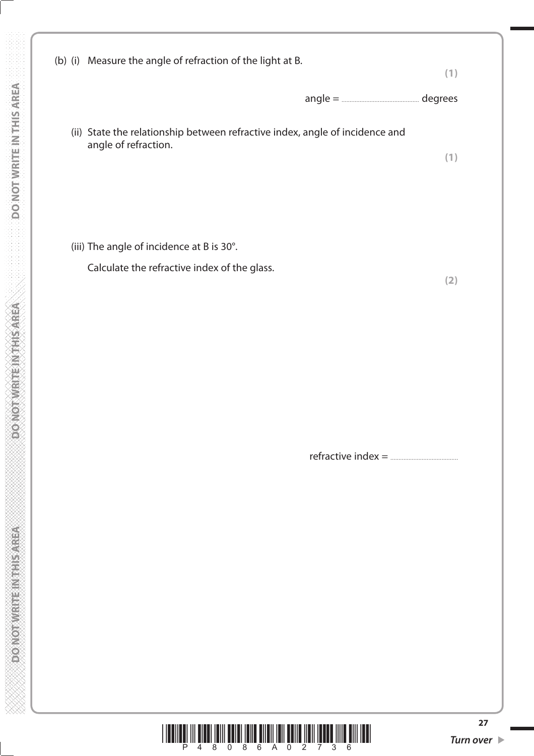| (b) (i) Measure the angle of refraction of the light at B.<br>(1)                                    |
|------------------------------------------------------------------------------------------------------|
|                                                                                                      |
| (ii) State the relationship between refractive index, angle of incidence and<br>angle of refraction. |
| (iii) The angle of incidence at B is 30°.                                                            |

Calculate the refractive index of the glass.

**(2)**

refractive index = .........................................

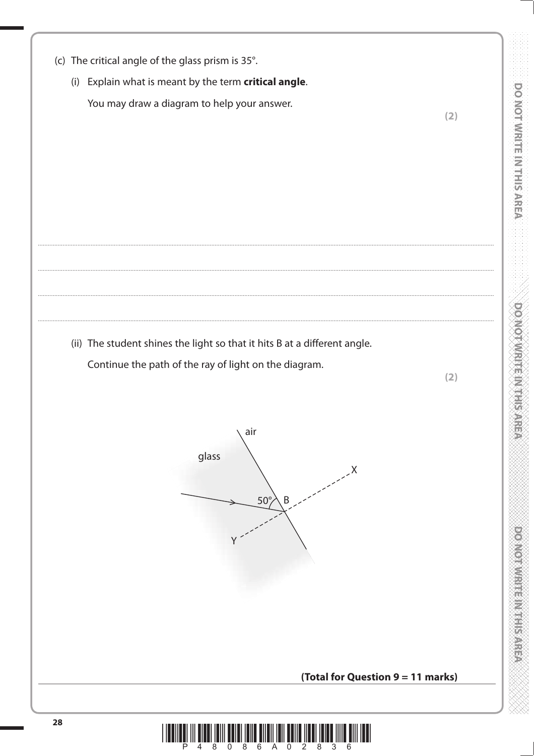

DO NOT WRITE IN THIS AREA

**DOMOTWRITE IN THIS AREA** 

**DO NOTWRITE IN THIS AREA** 

**ALLE AND AND AND AND AND AND ALL AND AND AND** Ш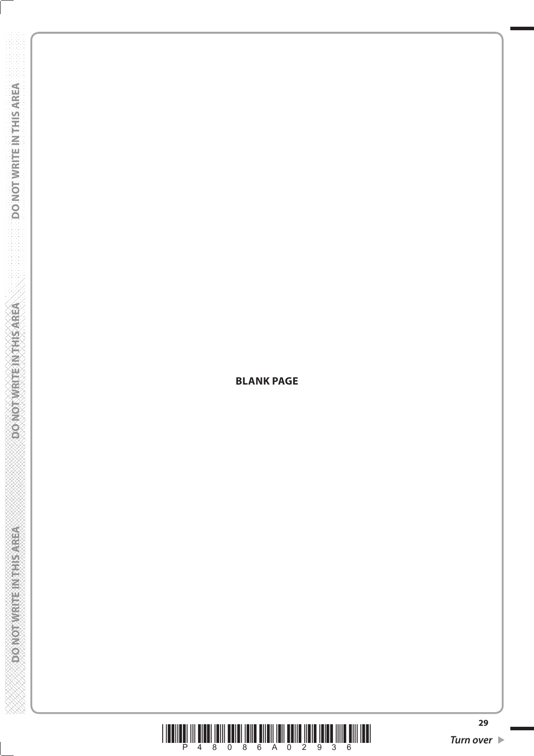

**BLANK PAGE**

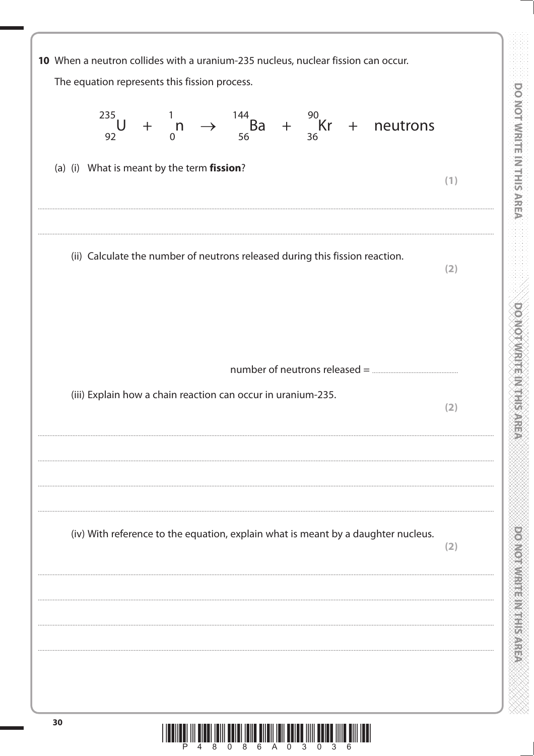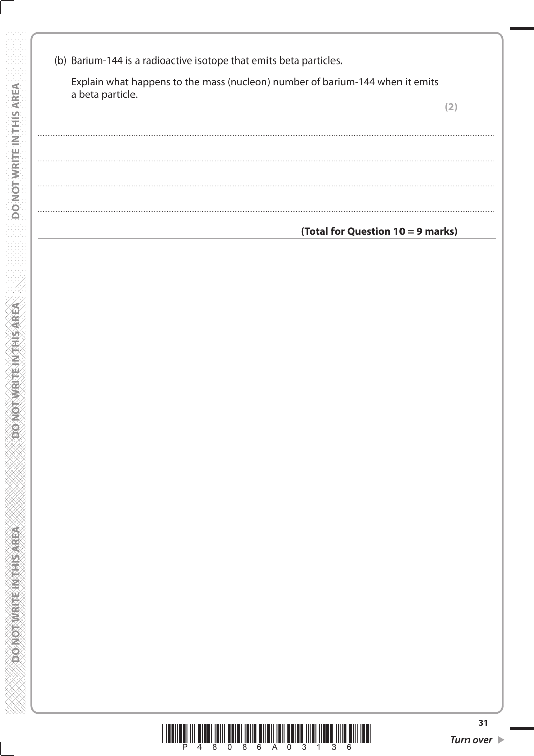(b) Barium-144 is a radioactive isotope that emits beta particles.

Explain what happens to the mass (nucleon) number of barium-144 when it emits a beta particle.

(Total for Question 10 = 9 marks)



DO NOT WRITE IN THIS AREA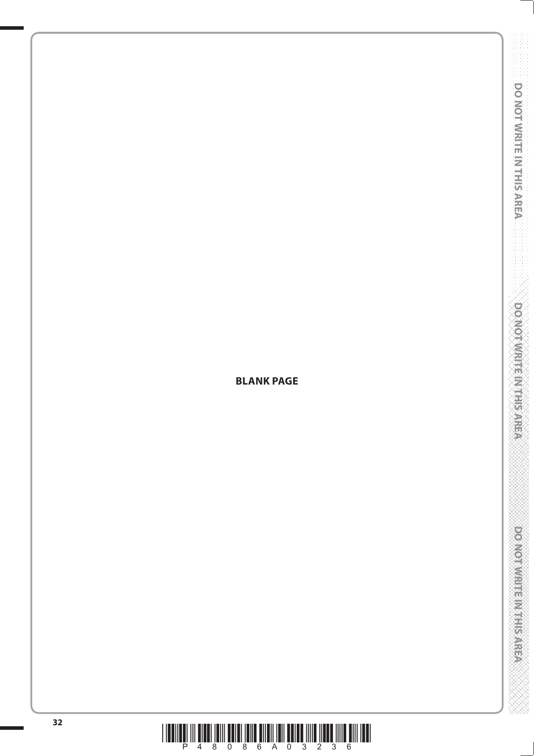**BLANK PAGE**

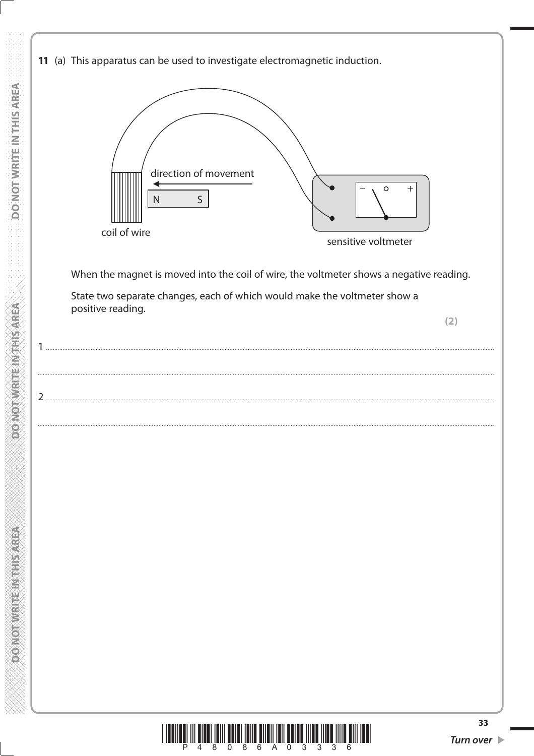## 11 (a) This apparatus can be used to investigate electromagnetic induction.



When the magnet is moved into the coil of wire, the voltmeter shows a negative reading.

State two separate changes, each of which would make the voltmeter show a positive reading.

 $(2)$ 



**MORE PROFESSION AND ROOM** 

 $2$ .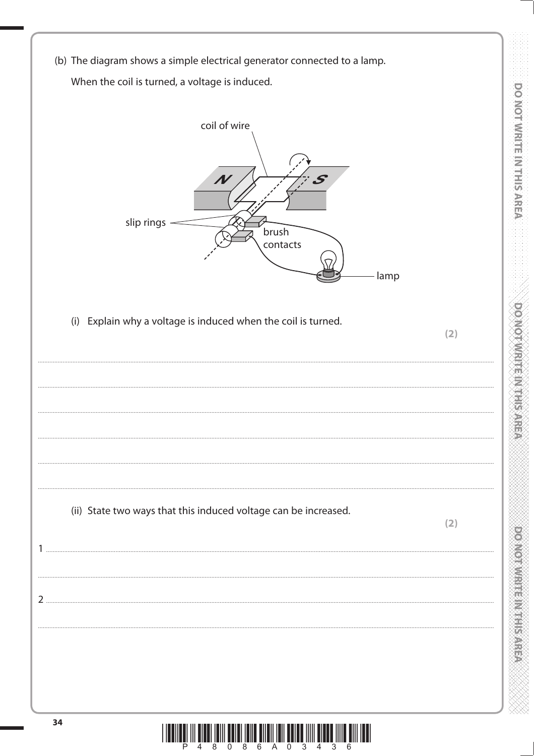| slip rings -<br>(i) Explain why a voltage is induced when the coil is turned. | coil of wire<br>$\boldsymbol{\mathcal{N}}$<br>brush<br>contacts | lamp<br>(2) |
|-------------------------------------------------------------------------------|-----------------------------------------------------------------|-------------|
|                                                                               |                                                                 |             |
|                                                                               |                                                                 |             |
|                                                                               |                                                                 |             |
| (ii) State two ways that this induced voltage can be increased.               |                                                                 | (2)         |
|                                                                               |                                                                 |             |
|                                                                               |                                                                 |             |

DO NOT WRITE IN THIS AREA **PONOTIVITIVE INTERNET** 

**POWER IN ENGINEERING**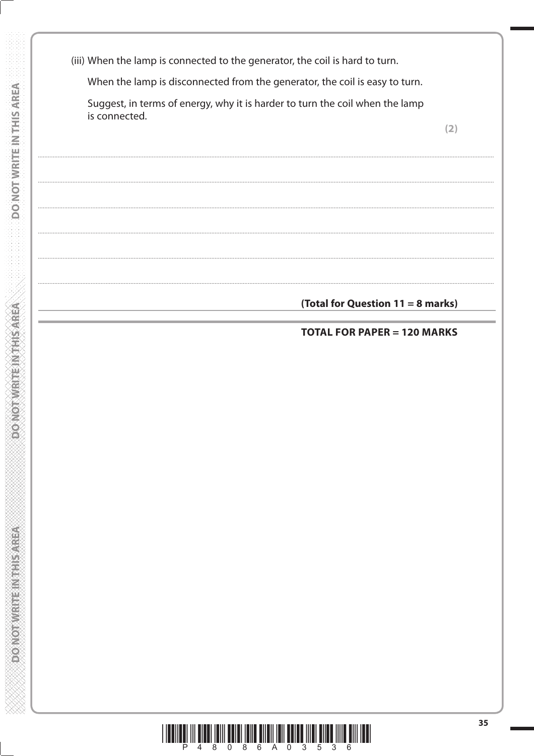**DO NOT WRITE IN THIS AREA** 

**DONOT WRITE NATHS AREA** 

**DONOT WRITEINTHIS AREA** 

When the lamp is disconnected from the generator, the coil is easy to turn.

Suggest, in terms of energy, why it is harder to turn the coil when the lamp is connected.

 $(2)$ 

(Total for Question 11 = 8 marks)

**TOTAL FOR PAPER = 120 MARKS**